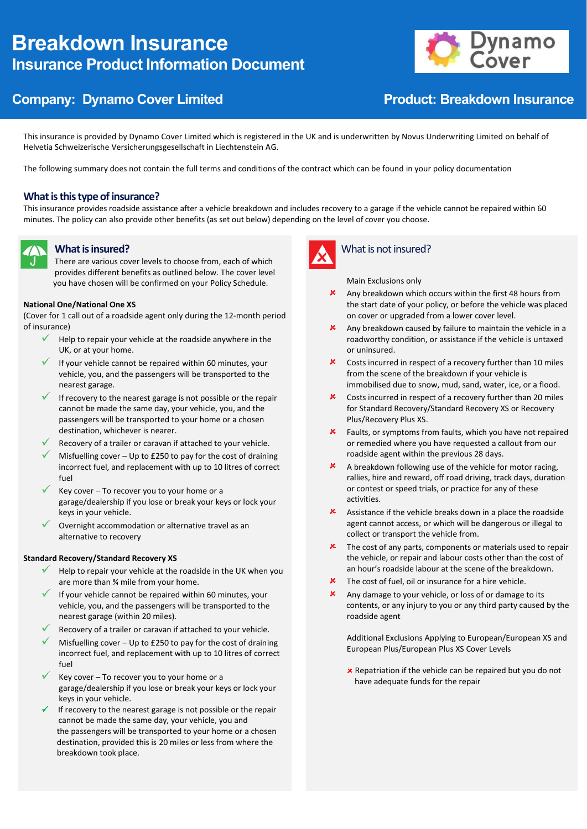# **Breakdown Insurance Insurance Product Information Document**



# **Company: Dynamo Cover Limited Company: Dynamo Cover Limited Company: Product: Breakdown Insurance**

This insurance is provided by Dynamo Cover Limited which is registered in the UK and is underwritten by Novus Underwriting Limited on behalf of Helvetia Schweizerische Versicherungsgesellschaft in Liechtenstein AG.

The following summary does not contain the full terms and conditions of the contract which can be found in your policy documentation

### **What is this type of insurance?**

This insurance provides roadside assistance after a vehicle breakdown and includes recovery to a garage if the vehicle cannot be repaired within 60 minutes. The policy can also provide other benefits (as set out below) depending on the level of cover you choose.



### **What is insured?**

There are various cover levels to choose from, each of which provides different benefits as outlined below. The cover level you have chosen will be confirmed on your Policy Schedule.

### **National One/National One XS**

(Cover for 1 call out of a roadside agent only during the 12-month period of insurance)

- $\checkmark$ Help to repair your vehicle at the roadside anywhere in the UK, or at your home.
- If your vehicle cannot be repaired within 60 minutes, your vehicle, you, and the passengers will be transported to the nearest garage.
- If recovery to the nearest garage is not possible or the repair cannot be made the same day, your vehicle, you, and the passengers will be transported to your home or a chosen destination, whichever is nearer.
- Recovery of a trailer or caravan if attached to your vehicle.
- Misfuelling cover Up to £250 to pay for the cost of draining incorrect fuel, and replacement with up to 10 litres of correct fuel
- Key cover To recover you to your home or a garage/dealership if you lose or break your keys or lock your keys in your vehicle.
- Overnight accommodation or alternative travel as an alternative to recovery

### **Standard Recovery/Standard Recovery XS**

- $\checkmark$ Help to repair your vehicle at the roadside in the UK when you are more than ¾ mile from your home.
- If your vehicle cannot be repaired within 60 minutes, your vehicle, you, and the passengers will be transported to the nearest garage (within 20 miles).
- Recovery of a trailer or caravan if attached to your vehicle.
- Misfuelling cover Up to £250 to pay for the cost of draining incorrect fuel, and replacement with up to 10 litres of correct fuel
- $\checkmark$ Key cover – To recover you to your home or a garage/dealership if you lose or break your keys or lock your keys in your vehicle.
- If recovery to the nearest garage is not possible or the repair cannot be made the same day, your vehicle, you and the passengers will be transported to your home or a chosen destination, provided this is 20 miles or less from where the breakdown took place.



### What is not insured?

Main Exclusions only

- Any breakdown which occurs within the first 48 hours from the start date of your policy, or before the vehicle was placed on cover or upgraded from a lower cover level.
- Any breakdown caused by failure to maintain the vehicle in a roadworthy condition, or assistance if the vehicle is untaxed or uninsured.
- Costs incurred in respect of a recovery further than 10 miles from the scene of the breakdown if your vehicle is immobilised due to snow, mud, sand, water, ice, or a flood.
- $\mathbf{x}$ Costs incurred in respect of a recovery further than 20 miles for Standard Recovery/Standard Recovery XS or Recovery Plus/Recovery Plus XS.
- $\mathbf{x}$ Faults, or symptoms from faults, which you have not repaired or remedied where you have requested a callout from our roadside agent within the previous 28 days.
- $\mathbf{x}$ A breakdown following use of the vehicle for motor racing, rallies, hire and reward, off road driving, track days, duration or contest or speed trials, or practice for any of these activities.
- $\mathbf{x}$ Assistance if the vehicle breaks down in a place the roadside agent cannot access, or which will be dangerous or illegal to collect or transport the vehicle from.
- $\mathbf{\times}$  The cost of any parts, components or materials used to repair the vehicle, or repair and labour costs other than the cost of an hour's roadside labour at the scene of the breakdown.
- The cost of fuel, oil or insurance for a hire vehicle.
- $\mathbf x$ Any damage to your vehicle, or loss of or damage to its contents, or any injury to you or any third party caused by the roadside agent

Additional Exclusions Applying to European/European XS and European Plus/European Plus XS Cover Levels

**x** Repatriation if the vehicle can be repaired but you do not have adequate funds for the repair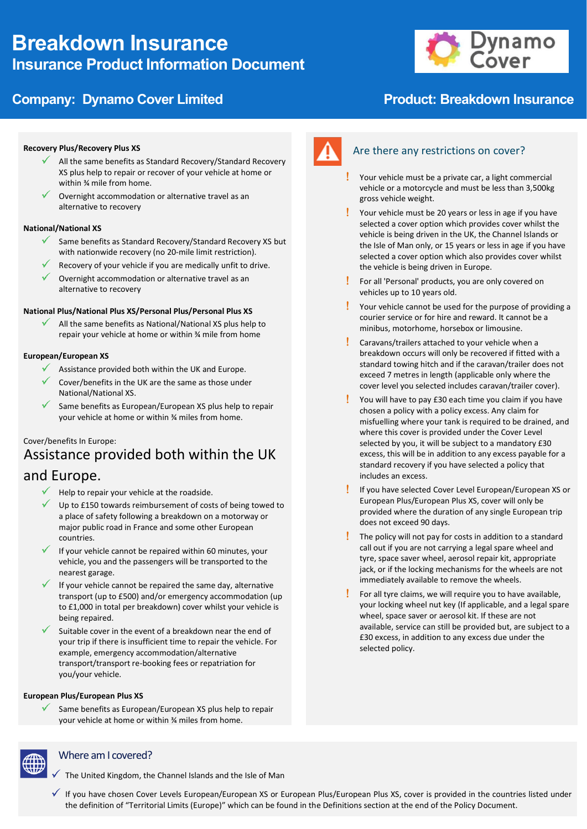# **Breakdown Insurance Insurance Product Information Document**





### **Recovery Plus/Recovery Plus XS**

- All the same benefits as Standard Recovery/Standard Recovery XS plus help to repair or recover of your vehicle at home or within ¾ mile from home.
- Overnight accommodation or alternative travel as an alternative to recovery

### **National/National XS**

- Same benefits as Standard Recovery/Standard Recovery XS but with nationwide recovery (no 20-mile limit restriction).
- Recovery of your vehicle if you are medically unfit to drive.
- $\checkmark$  Overnight accommodation or alternative travel as an alternative to recovery

### **National Plus/National Plus XS/Personal Plus/Personal Plus XS**

All the same benefits as National/National XS plus help to repair your vehicle at home or within ¾ mile from home

### **European/European XS**

- Assistance provided both within the UK and Europe.
- Cover/benefits in the UK are the same as those under National/National XS.
- Same benefits as European/European XS plus help to repair your vehicle at home or within ¾ miles from home.

### Cover/benefits In Europe:

# Assistance provided both within the UK

# and Europe.

- $\checkmark$  Help to repair your vehicle at the roadside.
- Up to £150 towards reimbursement of costs of being towed to a place of safety following a breakdown on a motorway or major public road in France and some other European countries.
- If your vehicle cannot be repaired within 60 minutes, your vehicle, you and the passengers will be transported to the nearest garage.
- If your vehicle cannot be repaired the same day, alternative transport (up to £500) and/or emergency accommodation (up to £1,000 in total per breakdown) cover whilst your vehicle is being repaired.
- Suitable cover in the event of a breakdown near the end of your trip if there is insufficient time to repair the vehicle. For example, emergency accommodation/alternative transport/transport re-booking fees or repatriation for you/your vehicle.

### **European Plus/European Plus XS**

Same benefits as European/European XS plus help to repair your vehicle at home or within ¾ miles from home.



## Are there any restrictions on cover?

- Your vehicle must be a private car, a light commercial vehicle or a motorcycle and must be less than 3,500kg gross vehicle weight.
- Your vehicle must be 20 years or less in age if you have selected a cover option which provides cover whilst the vehicle is being driven in the UK, the Channel Islands or the Isle of Man only, or 15 years or less in age if you have selected a cover option which also provides cover whilst the vehicle is being driven in Europe.
- For all 'Personal' products, you are only covered on vehicles up to 10 years old.
- Your vehicle cannot be used for the purpose of providing a courier service or for hire and reward. It cannot be a minibus, motorhome, horsebox or limousine.
- Caravans/trailers attached to your vehicle when a breakdown occurs will only be recovered if fitted with a standard towing hitch and if the caravan/trailer does not exceed 7 metres in length (applicable only where the cover level you selected includes caravan/trailer cover).
- You will have to pay £30 each time you claim if you have chosen a policy with a policy excess. Any claim for misfuelling where your tank is required to be drained, and where this cover is provided under the Cover Level selected by you, it will be subject to a mandatory £30 excess, this will be in addition to any excess payable for a standard recovery if you have selected a policy that includes an excess.
- If you have selected Cover Level European/European XS or European Plus/European Plus XS, cover will only be provided where the duration of any single European trip does not exceed 90 days.
- $\frac{1}{2}$  The policy will not pay for costs in addition to a standard call out if you are not carrying a legal spare wheel and tyre, space saver wheel, aerosol repair kit, appropriate jack, or if the locking mechanisms for the wheels are not immediately available to remove the wheels.
- $\frac{1}{2}$  For all tyre claims, we will require you to have available, your locking wheel nut key (If applicable, and a legal spare wheel, space saver or aerosol kit. If these are not available, service can still be provided but, are subject to a £30 excess, in addition to any excess due under the selected policy.



### Where am I covered?

- The United Kingdom, the Channel Islands and the Isle of Man
- If you have chosen Cover Levels European/European XS or European Plus/European Plus XS, cover is provided in the countries listed under the definition of "Territorial Limits (Europe)" which can be found in the Definitions section at the end of the Policy Document.